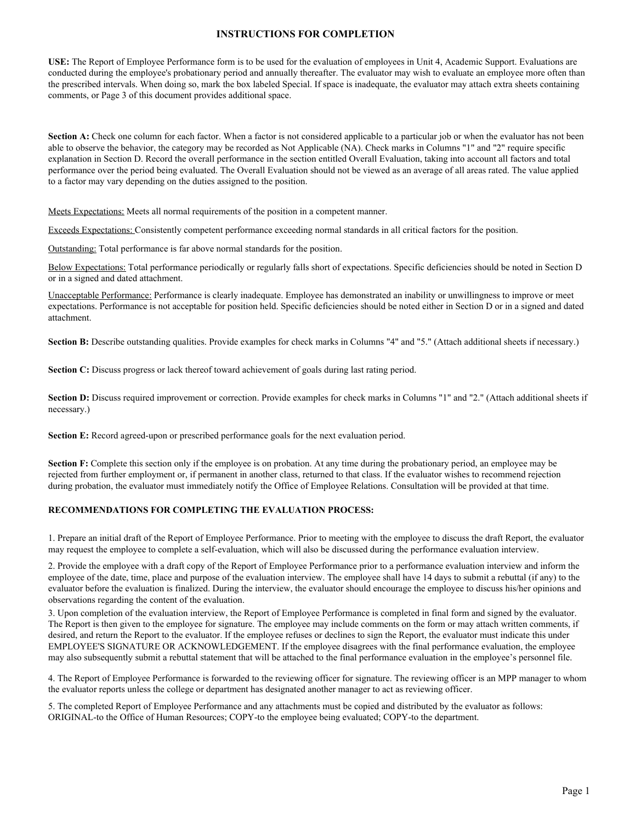## **INSTRUCTIONS FOR COMPLETION**

**USE:** The Report of Employee Performance form is to be used for the evaluation of employees in Unit 4, Academic Support. Evaluations are conducted during the employee's probationary period and annually thereafter. The evaluator may wish to evaluate an employee more often than the prescribed intervals. When doing so, mark the box labeled Special. If space is inadequate, the evaluator may attach extra sheets containing comments, or Page 3 of this document provides additional space.

Section A: Check one column for each factor. When a factor is not considered applicable to a particular job or when the evaluator has not been able to observe the behavior, the category may be recorded as Not Applicable (NA). Check marks in Columns "1" and "2" require specific explanation in Section D. Record the overall performance in the section entitled Overall Evaluation, taking into account all factors and total performance over the period being evaluated. The Overall Evaluation should not be viewed as an average of all areas rated. The value applied to a factor may vary depending on the duties assigned to the position.

Meets Expectations: Meets all normal requirements of the position in a competent manner.

Exceeds Expectations: Consistently competent performance exceeding normal standards in all critical factors for the position.

Outstanding: Total performance is far above normal standards for the position.

Below Expectations: Total performance periodically or regularly falls short of expectations. Specific deficiencies should be noted in Section D or in a signed and dated attachment.

Unacceptable Performance: Performance is clearly inadequate. Employee has demonstrated an inability or unwillingness to improve or meet expectations. Performance is not acceptable for position held. Specific deficiencies should be noted either in Section D or in a signed and dated attachment.

Section B: Describe outstanding qualities. Provide examples for check marks in Columns "4" and "5." (Attach additional sheets if necessary.)

**Section C:** Discuss progress or lack thereof toward achievement of goals during last rating period.

Section D: Discuss required improvement or correction. Provide examples for check marks in Columns "1" and "2." (Attach additional sheets if necessary.)

**Section E:** Record agreed-upon or prescribed performance goals for the next evaluation period.

**Section F:** Complete this section only if the employee is on probation. At any time during the probationary period, an employee may be rejected from further employment or, if permanent in another class, returned to that class. If the evaluator wishes to recommend rejection during probation, the evaluator must immediately notify the Office of Employee Relations. Consultation will be provided at that time.

## **RECOMMENDATIONS FOR COMPLETING THE EVALUATION PROCESS:**

1. Prepare an initial draft of the Report of Employee Performance. Prior to meeting with the employee to discuss the draft Report, the evaluator may request the employee to complete a self-evaluation, which will also be discussed during the performance evaluation interview.

2. Provide the employee with a draft copy of the Report of Employee Performance prior to a performance evaluation interview and inform the employee of the date, time, place and purpose of the evaluation interview. The employee shall have 14 days to submit a rebuttal (if any) to the evaluator before the evaluation is finalized. During the interview, the evaluator should encourage the employee to discuss his/her opinions and observations regarding the content of the evaluation.

3. Upon completion of the evaluation interview, the Report of Employee Performance is completed in final form and signed by the evaluator. The Report is then given to the employee for signature. The employee may include comments on the form or may attach written comments, if desired, and return the Report to the evaluator. If the employee refuses or declines to sign the Report, the evaluator must indicate this under EMPLOYEE'S SIGNATURE OR ACKNOWLEDGEMENT. If the employee disagrees with the final performance evaluation, the employee may also subsequently submit a rebuttal statement that will be attached to the final performance evaluation in the employee's personnel file.

4. The Report of Employee Performance is forwarded to the reviewing officer for signature. The reviewing officer is an MPP manager to whom the evaluator reports unless the college or department has designated another manager to act as reviewing officer.

5. The completed Report of Employee Performance and any attachments must be copied and distributed by the evaluator as follows: ORIGINAL-to the Office of Human Resources; COPY-to the employee being evaluated; COPY-to the department.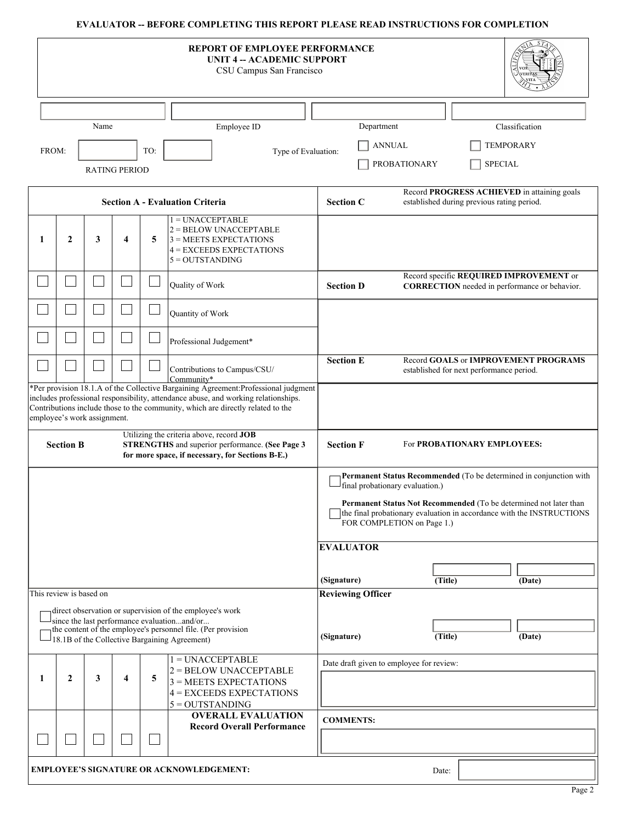## **EVALUATOR -- BEFORE COMPLETING THIS REPORT PLEASE READ INSTRUCTIONS FOR COMPLETION**

|   |                                                                                                                                                                     |                             |                      |     |                                                                                                                                                              | <b>REPORT OF EMPLOYEE PERFORMANCE</b><br><b>UNIT 4 -- ACADEMIC SUPPORT</b><br>CSU Campus San Francisco                                                                                                                                                                            |                                                 |                     |         |                                            |                                                                                                 |
|---|---------------------------------------------------------------------------------------------------------------------------------------------------------------------|-----------------------------|----------------------|-----|--------------------------------------------------------------------------------------------------------------------------------------------------------------|-----------------------------------------------------------------------------------------------------------------------------------------------------------------------------------------------------------------------------------------------------------------------------------|-------------------------------------------------|---------------------|---------|--------------------------------------------|-------------------------------------------------------------------------------------------------|
|   |                                                                                                                                                                     |                             |                      |     |                                                                                                                                                              |                                                                                                                                                                                                                                                                                   |                                                 |                     |         |                                            |                                                                                                 |
|   |                                                                                                                                                                     | Name                        |                      |     |                                                                                                                                                              | Employee ID                                                                                                                                                                                                                                                                       | Department                                      |                     |         |                                            | Classification                                                                                  |
|   | FROM:                                                                                                                                                               |                             |                      | TO: |                                                                                                                                                              |                                                                                                                                                                                                                                                                                   |                                                 | <b>ANNUAL</b>       |         |                                            | <b>TEMPORARY</b>                                                                                |
|   |                                                                                                                                                                     |                             | <b>RATING PERIOD</b> |     |                                                                                                                                                              | Type of Evaluation:                                                                                                                                                                                                                                                               |                                                 | <b>PROBATIONARY</b> |         | <b>SPECIAL</b>                             |                                                                                                 |
|   |                                                                                                                                                                     |                             |                      |     |                                                                                                                                                              |                                                                                                                                                                                                                                                                                   |                                                 |                     |         |                                            |                                                                                                 |
|   |                                                                                                                                                                     |                             |                      |     | <b>Section A - Evaluation Criteria</b>                                                                                                                       |                                                                                                                                                                                                                                                                                   | <b>Section C</b>                                |                     |         | established during previous rating period. | Record PROGRESS ACHIEVED in attaining goals                                                     |
| 1 | $\mathbf{2}$                                                                                                                                                        | 3                           | 4                    | 5   | $1 = UNACCEPTABLE$<br>$5 = OUTSTANDING$                                                                                                                      | $2 =$ BELOW UNACCEPTABLE<br>$3 = MEETS$ EXPECTATIONS<br>$4 = EXCEEDS$ EXPECTATIONS                                                                                                                                                                                                |                                                 |                     |         |                                            |                                                                                                 |
|   |                                                                                                                                                                     |                             |                      |     | Quality of Work                                                                                                                                              |                                                                                                                                                                                                                                                                                   | <b>Section D</b>                                |                     |         |                                            | Record specific REQUIRED IMPROVEMENT or<br><b>CORRECTION</b> needed in performance or behavior. |
|   |                                                                                                                                                                     |                             |                      |     | Quantity of Work                                                                                                                                             |                                                                                                                                                                                                                                                                                   |                                                 |                     |         |                                            |                                                                                                 |
|   |                                                                                                                                                                     |                             |                      |     |                                                                                                                                                              | Professional Judgement*                                                                                                                                                                                                                                                           |                                                 |                     |         |                                            |                                                                                                 |
|   |                                                                                                                                                                     |                             |                      |     | Community*                                                                                                                                                   | Contributions to Campus/CSU/                                                                                                                                                                                                                                                      | <b>Section E</b>                                |                     |         | established for next performance period.   | Record GOALS or IMPROVEMENT PROGRAMS                                                            |
|   |                                                                                                                                                                     | employee's work assignment. |                      |     |                                                                                                                                                              | *Per provision 18.1.A of the Collective Bargaining Agreement:Professional judgment<br>includes professional responsibility, attendance abuse, and working relationships.<br>Contributions include those to the community, which are directly related to the                       |                                                 |                     |         |                                            |                                                                                                 |
|   | Utilizing the criteria above, record JOB<br><b>Section B</b><br>STRENGTHS and superior performance. (See Page 3<br>for more space, if necessary, for Sections B-E.) |                             |                      |     |                                                                                                                                                              |                                                                                                                                                                                                                                                                                   | <b>Section F</b><br>For PROBATIONARY EMPLOYEES: |                     |         |                                            |                                                                                                 |
|   |                                                                                                                                                                     |                             |                      |     |                                                                                                                                                              | Permanent Status Recommended (To be determined in conjunction with<br>final probationary evaluation.)<br>Permanent Status Not Recommended (To be determined not later than<br>the final probationary evaluation in accordance with the INSTRUCTIONS<br>FOR COMPLETION on Page 1.) |                                                 |                     |         |                                            |                                                                                                 |
|   |                                                                                                                                                                     |                             |                      |     |                                                                                                                                                              |                                                                                                                                                                                                                                                                                   | <b>EVALUATOR</b>                                |                     |         |                                            |                                                                                                 |
|   |                                                                                                                                                                     |                             |                      |     |                                                                                                                                                              |                                                                                                                                                                                                                                                                                   | (Signature)                                     |                     | (Title) |                                            | (Date)                                                                                          |
|   | This review is based on                                                                                                                                             |                             |                      |     |                                                                                                                                                              |                                                                                                                                                                                                                                                                                   | <b>Reviewing Officer</b>                        |                     |         |                                            |                                                                                                 |
|   |                                                                                                                                                                     |                             |                      |     | direct observation or supervision of the employee's work                                                                                                     |                                                                                                                                                                                                                                                                                   |                                                 |                     |         |                                            |                                                                                                 |
|   |                                                                                                                                                                     |                             |                      |     | since the last performance evaluationand/or<br>the content of the employee's personnel file. (Per provision<br>18.1B of the Collective Bargaining Agreement) |                                                                                                                                                                                                                                                                                   | (Signature)                                     |                     | (Title) |                                            | (Date)                                                                                          |
|   |                                                                                                                                                                     |                             |                      |     | $1 = UNACCEPTABLE$                                                                                                                                           | Date draft given to employee for review:                                                                                                                                                                                                                                          |                                                 |                     |         |                                            |                                                                                                 |
| 1 | $\mathbf{2}$                                                                                                                                                        | 3                           | 4                    | 5   | $5 = OUTSTANDING$                                                                                                                                            | $2 =$ BELOW UNACCEPTABLE<br>$3 = MEETS$ EXPECTATIONS<br>$4 = EXCEEDS$ EXPECTATIONS                                                                                                                                                                                                |                                                 |                     |         |                                            |                                                                                                 |
|   |                                                                                                                                                                     |                             |                      |     |                                                                                                                                                              | <b>OVERALL EVALUATION</b>                                                                                                                                                                                                                                                         | <b>COMMENTS:</b>                                |                     |         |                                            |                                                                                                 |
|   |                                                                                                                                                                     |                             |                      |     |                                                                                                                                                              | <b>Record Overall Performance</b>                                                                                                                                                                                                                                                 |                                                 |                     |         |                                            |                                                                                                 |
|   |                                                                                                                                                                     |                             |                      |     | <b>EMPLOYEE'S SIGNATURE OR ACKNOWLEDGEMENT:</b>                                                                                                              |                                                                                                                                                                                                                                                                                   |                                                 |                     | Date:   |                                            |                                                                                                 |